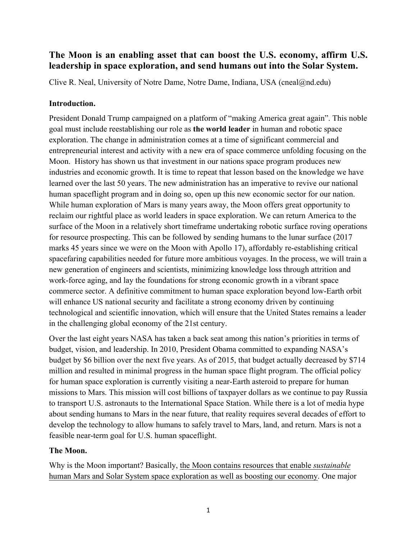# **The Moon is an enabling asset that can boost the U.S. economy, affirm U.S. leadership in space exploration, and send humans out into the Solar System.**

Clive R. Neal, University of Notre Dame, Notre Dame, Indiana, USA (cneal@nd.edu)

## **Introduction.**

President Donald Trump campaigned on a platform of "making America great again". This noble goal must include reestablishing our role as **the world leader** in human and robotic space exploration. The change in administration comes at a time of significant commercial and entrepreneurial interest and activity with a new era of space commerce unfolding focusing on the Moon. History has shown us that investment in our nations space program produces new industries and economic growth. It is time to repeat that lesson based on the knowledge we have learned over the last 50 years. The new administration has an imperative to revive our national human spaceflight program and in doing so, open up this new economic sector for our nation. While human exploration of Mars is many years away, the Moon offers great opportunity to reclaim our rightful place as world leaders in space exploration. We can return America to the surface of the Moon in a relatively short timeframe undertaking robotic surface roving operations for resource prospecting. This can be followed by sending humans to the lunar surface (2017 marks 45 years since we were on the Moon with Apollo 17), affordably re-establishing critical spacefaring capabilities needed for future more ambitious voyages. In the process, we will train a new generation of engineers and scientists, minimizing knowledge loss through attrition and work-force aging, and lay the foundations for strong economic growth in a vibrant space commerce sector. A definitive commitment to human space exploration beyond low-Earth orbit will enhance US national security and facilitate a strong economy driven by continuing technological and scientific innovation, which will ensure that the United States remains a leader in the challenging global economy of the 21st century.

Over the last eight years NASA has taken a back seat among this nation's priorities in terms of budget, vision, and leadership. In 2010, President Obama committed to expanding NASA's budget by \$6 billion over the next five years. As of 2015, that budget actually decreased by \$714 million and resulted in minimal progress in the human space flight program. The official policy for human space exploration is currently visiting a near-Earth asteroid to prepare for human missions to Mars. This mission will cost billions of taxpayer dollars as we continue to pay Russia to transport U.S. astronauts to the International Space Station. While there is a lot of media hype about sending humans to Mars in the near future, that reality requires several decades of effort to develop the technology to allow humans to safely travel to Mars, land, and return. Mars is not a feasible near-term goal for U.S. human spaceflight.

# **The Moon.**

Why is the Moon important? Basically, the Moon contains resources that enable *sustainable* human Mars and Solar System space exploration as well as boosting our economy. One major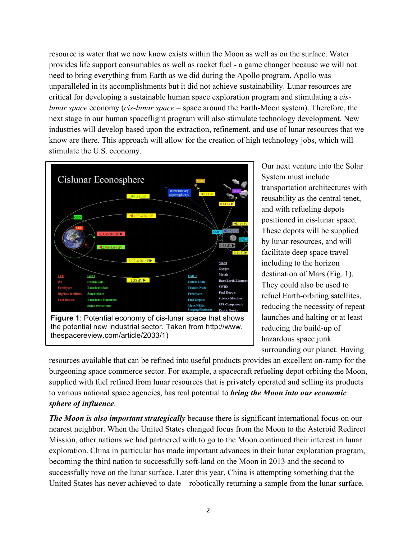resource is water that we now know exists within the Moon as well as on the surface. Water provides life support consumables as well as rocket fuel - a game changer because we will not need to bring everything from Earth as we did during the Apollo program. Apollo was unparalleled in its accomplishments but it did not achieve sustainability. Lunar resources are critical for developing a sustainable human space exploration program and stimulating a *cislunar space* economy (*cis-lunar space* = space around the Earth-Moon system). Therefore, the next stage in our human spaceflight program will also stimulate technology development. New industries will develop based upon the extraction, refinement, and use of lunar resources that we know are there. This approach will allow for the creation of high technology jobs, which will stimulate the U.S. economy.



thespacereview.com/article/2033/1)

Our next venture into the Solar System must include transportation architectures with reusability as the central tenet, and with refueling depots positioned in cis-lunar space. These depots will be supplied by lunar resources, and will facilitate deep space travel including to the horizon destination of Mars (Fig. 1). They could also be used to refuel Earth-orbiting satellites, reducing the necessity of repeat launches and halting or at least reducing the build-up of hazardous space junk surrounding our planet. Having

resources available that can be refined into useful products provides an excellent on-ramp for the burgeoning space commerce sector. For example, a spacecraft refueling depot orbiting the Moon, supplied with fuel refined from lunar resources that is privately operated and selling its products to various national space agencies, has real potential to *bring the Moon into our economic sphere of influence*.

*The Moon is also important strategically* because there is significant international focus on our nearest neighbor. When the United States changed focus from the Moon to the Asteroid Redirect Mission, other nations we had partnered with to go to the Moon continued their interest in lunar exploration. China in particular has made important advances in their lunar exploration program, becoming the third nation to successfully soft-land on the Moon in 2013 and the second to successfully rove on the lunar surface. Later this year, China is attempting something that the United States has never achieved to date – robotically returning a sample from the lunar surface.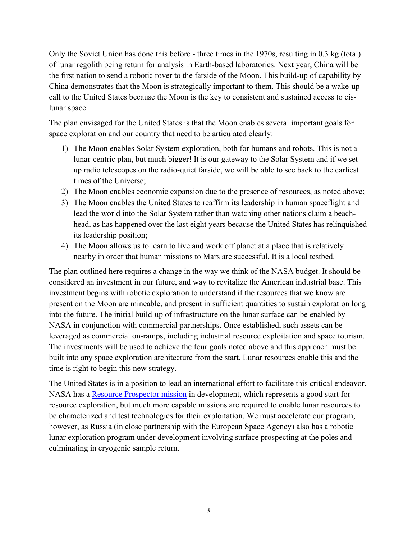Only the Soviet Union has done this before - three times in the 1970s, resulting in 0.3 kg (total) of lunar regolith being return for analysis in Earth-based laboratories. Next year, China will be the first nation to send a robotic rover to the farside of the Moon. This build-up of capability by China demonstrates that the Moon is strategically important to them. This should be a wake-up call to the United States because the Moon is the key to consistent and sustained access to cislunar space.

The plan envisaged for the United States is that the Moon enables several important goals for space exploration and our country that need to be articulated clearly:

- 1) The Moon enables Solar System exploration, both for humans and robots. This is not a lunar-centric plan, but much bigger! It is our gateway to the Solar System and if we set up radio telescopes on the radio-quiet farside, we will be able to see back to the earliest times of the Universe;
- 2) The Moon enables economic expansion due to the presence of resources, as noted above;
- 3) The Moon enables the United States to reaffirm its leadership in human spaceflight and lead the world into the Solar System rather than watching other nations claim a beachhead, as has happened over the last eight years because the United States has relinquished its leadership position;
- 4) The Moon allows us to learn to live and work off planet at a place that is relatively nearby in order that human missions to Mars are successful. It is a local testbed.

The plan outlined here requires a change in the way we think of the NASA budget. It should be considered an investment in our future, and way to revitalize the American industrial base. This investment begins with robotic exploration to understand if the resources that we know are present on the Moon are mineable, and present in sufficient quantities to sustain exploration long into the future. The initial build-up of infrastructure on the lunar surface can be enabled by NASA in conjunction with commercial partnerships. Once established, such assets can be leveraged as commercial on-ramps, including industrial resource exploitation and space tourism. The investments will be used to achieve the four goals noted above and this approach must be built into any space exploration architecture from the start. Lunar resources enable this and the time is right to begin this new strategy.

The United States is in a position to lead an international effort to facilitate this critical endeavor. NASA has a Resource Prospector mission in development, which represents a good start for resource exploration, but much more capable missions are required to enable lunar resources to be characterized and test technologies for their exploitation. We must accelerate our program, however, as Russia (in close partnership with the European Space Agency) also has a robotic lunar exploration program under development involving surface prospecting at the poles and culminating in cryogenic sample return.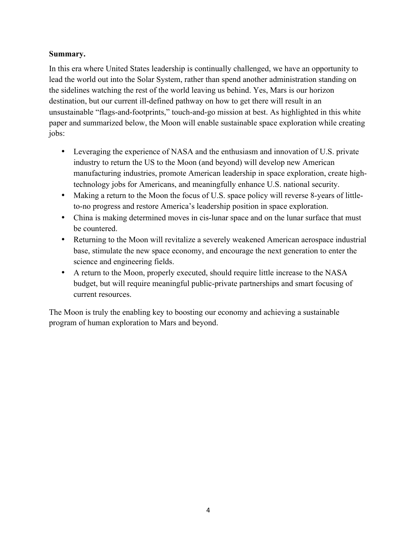### **Summary.**

In this era where United States leadership is continually challenged, we have an opportunity to lead the world out into the Solar System, rather than spend another administration standing on the sidelines watching the rest of the world leaving us behind. Yes, Mars is our horizon destination, but our current ill-defined pathway on how to get there will result in an unsustainable "flags-and-footprints," touch-and-go mission at best. As highlighted in this white paper and summarized below, the Moon will enable sustainable space exploration while creating jobs:

- Leveraging the experience of NASA and the enthusiasm and innovation of U.S. private industry to return the US to the Moon (and beyond) will develop new American manufacturing industries, promote American leadership in space exploration, create hightechnology jobs for Americans, and meaningfully enhance U.S. national security.
- Making a return to the Moon the focus of U.S. space policy will reverse 8-years of littleto-no progress and restore America's leadership position in space exploration.
- China is making determined moves in cis-lunar space and on the lunar surface that must be countered.
- Returning to the Moon will revitalize a severely weakened American aerospace industrial base, stimulate the new space economy, and encourage the next generation to enter the science and engineering fields.
- A return to the Moon, properly executed, should require little increase to the NASA budget, but will require meaningful public-private partnerships and smart focusing of current resources.

The Moon is truly the enabling key to boosting our economy and achieving a sustainable program of human exploration to Mars and beyond.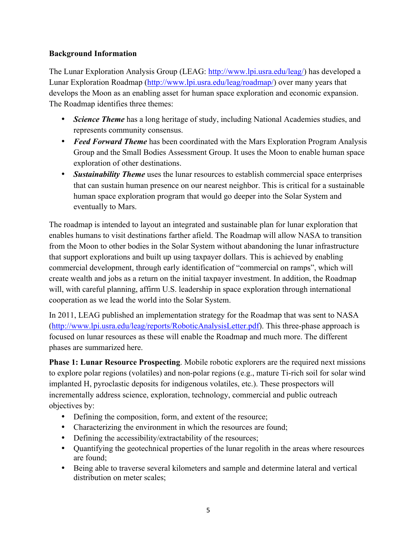## **Background Information**

The Lunar Exploration Analysis Group (LEAG: http://www.lpi.usra.edu/leag/) has developed a Lunar Exploration Roadmap (http://www.lpi.usra.edu/leag/roadmap/) over many years that develops the Moon as an enabling asset for human space exploration and economic expansion. The Roadmap identifies three themes:

- *Science Theme* has a long heritage of study, including National Academies studies, and represents community consensus.
- *Feed Forward Theme* has been coordinated with the Mars Exploration Program Analysis Group and the Small Bodies Assessment Group. It uses the Moon to enable human space exploration of other destinations.
- *Sustainability Theme* uses the lunar resources to establish commercial space enterprises that can sustain human presence on our nearest neighbor. This is critical for a sustainable human space exploration program that would go deeper into the Solar System and eventually to Mars.

The roadmap is intended to layout an integrated and sustainable plan for lunar exploration that enables humans to visit destinations farther afield. The Roadmap will allow NASA to transition from the Moon to other bodies in the Solar System without abandoning the lunar infrastructure that support explorations and built up using taxpayer dollars. This is achieved by enabling commercial development, through early identification of "commercial on ramps", which will create wealth and jobs as a return on the initial taxpayer investment. In addition, the Roadmap will, with careful planning, affirm U.S. leadership in space exploration through international cooperation as we lead the world into the Solar System.

In 2011, LEAG published an implementation strategy for the Roadmap that was sent to NASA (http://www.lpi.usra.edu/leag/reports/RoboticAnalysisLetter.pdf). This three-phase approach is focused on lunar resources as these will enable the Roadmap and much more. The different phases are summarized here.

**Phase 1: Lunar Resource Prospecting**. Mobile robotic explorers are the required next missions to explore polar regions (volatiles) and non-polar regions (e.g., mature Ti-rich soil for solar wind implanted H, pyroclastic deposits for indigenous volatiles, etc.). These prospectors will incrementally address science, exploration, technology, commercial and public outreach objectives by:

- Defining the composition, form, and extent of the resource;
- Characterizing the environment in which the resources are found;
- Defining the accessibility/extractability of the resources;
- Quantifying the geotechnical properties of the lunar regolith in the areas where resources are found;
- Being able to traverse several kilometers and sample and determine lateral and vertical distribution on meter scales;